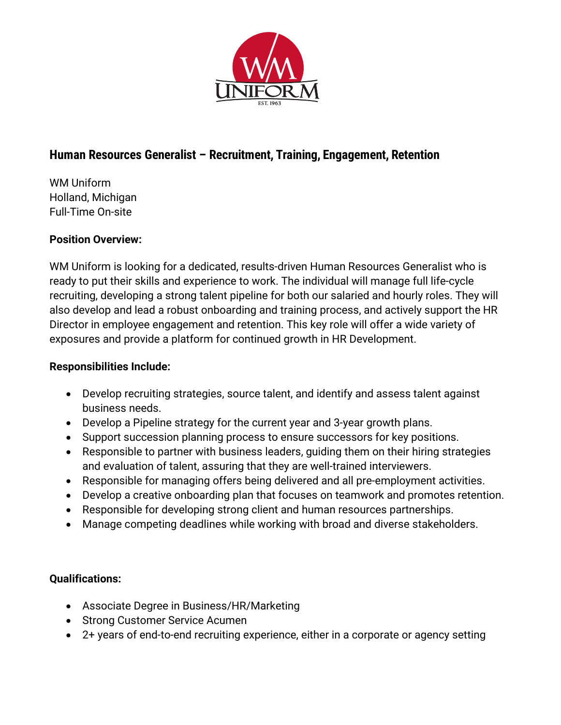

## **Human Resources Generalist – Recruitment, Training, Engagement, Retention**

WM Uniform Holland, Michigan Full-Time On-site

## **Position Overview:**

WM Uniform is looking for a dedicated, results-driven Human Resources Generalist who is ready to put their skills and experience to work. The individual will manage full life-cycle recruiting, developing a strong talent pipeline for both our salaried and hourly roles. They will also develop and lead a robust onboarding and training process, and actively support the HR Director in employee engagement and retention. This key role will offer a wide variety of exposures and provide a platform for continued growth in HR Development.

## **Responsibilities Include:**

- Develop recruiting strategies, source talent, and identify and assess talent against business needs.
- Develop a Pipeline strategy for the current year and 3-year growth plans.
- Support succession planning process to ensure successors for key positions.
- Responsible to partner with business leaders, guiding them on their hiring strategies and evaluation of talent, assuring that they are well-trained interviewers.
- Responsible for managing offers being delivered and all pre-employment activities.
- Develop a creative onboarding plan that focuses on teamwork and promotes retention.
- Responsible for developing strong client and human resources partnerships.
- Manage competing deadlines while working with broad and diverse stakeholders.

## **Qualifications:**

- Associate Degree in Business/HR/Marketing
- Strong Customer Service Acumen
- 2+ years of end-to-end recruiting experience, either in a corporate or agency setting